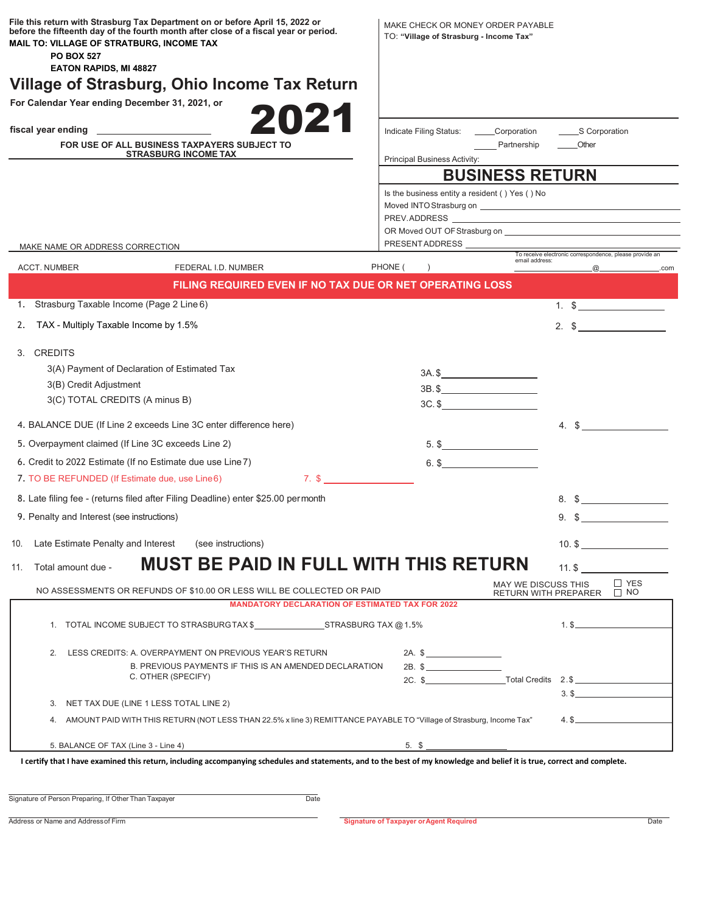| File this return with Strasburg Tax Department on or before April 15, 2022 or<br>before the fifteenth day of the fourth month after close of a fiscal year or period.<br>MAIL TO: VILLAGE OF STRATBURG, INCOME TAX<br><b>PO BOX 527</b><br><b>EATON RAPIDS, MI 48827</b><br>Village of Strasburg, Ohio Income Tax Return | MAKE CHECK OR MONEY ORDER PAYABLE<br>TO: "Village of Strasburg - Income Tax" |                                                    |                                                         |
|--------------------------------------------------------------------------------------------------------------------------------------------------------------------------------------------------------------------------------------------------------------------------------------------------------------------------|------------------------------------------------------------------------------|----------------------------------------------------|---------------------------------------------------------|
| For Calendar Year ending December 31, 2021, or                                                                                                                                                                                                                                                                           |                                                                              |                                                    |                                                         |
| 2021                                                                                                                                                                                                                                                                                                                     |                                                                              |                                                    |                                                         |
|                                                                                                                                                                                                                                                                                                                          | Indicate Filing Status: Corporation                                          |                                                    | S Corporation                                           |
| FOR USE OF ALL BUSINESS TAXPAYERS SUBJECT TO<br><b>STRASBURG INCOME TAX</b>                                                                                                                                                                                                                                              |                                                                              | Partnership                                        | Other                                                   |
|                                                                                                                                                                                                                                                                                                                          | Principal Business Activity:<br><b>BUSINESS RETURN</b>                       |                                                    |                                                         |
|                                                                                                                                                                                                                                                                                                                          |                                                                              |                                                    |                                                         |
|                                                                                                                                                                                                                                                                                                                          | Is the business entity a resident () Yes () No                               |                                                    |                                                         |
|                                                                                                                                                                                                                                                                                                                          |                                                                              |                                                    |                                                         |
|                                                                                                                                                                                                                                                                                                                          |                                                                              |                                                    |                                                         |
| MAKE NAME OR ADDRESS CORRECTION                                                                                                                                                                                                                                                                                          |                                                                              |                                                    | To receive electronic correspondence, please provide an |
| ACCT. NUMBER<br>FEDERAL I.D. NUMBER                                                                                                                                                                                                                                                                                      | PHONE (                                                                      | email address:                                     | $\omega$<br>.com                                        |
| FILING REQUIRED EVEN IF NO TAX DUE OR NET OPERATING LOSS                                                                                                                                                                                                                                                                 |                                                                              |                                                    |                                                         |
| 1. Strasburg Taxable Income (Page 2 Line 6)                                                                                                                                                                                                                                                                              |                                                                              |                                                    | 1. $\frac{1}{2}$                                        |
| TAX - Multiply Taxable Income by 1.5%<br>2.                                                                                                                                                                                                                                                                              |                                                                              |                                                    | $2.$ \$                                                 |
|                                                                                                                                                                                                                                                                                                                          |                                                                              |                                                    |                                                         |
| 3. CREDITS                                                                                                                                                                                                                                                                                                               |                                                                              |                                                    |                                                         |
| 3(A) Payment of Declaration of Estimated Tax                                                                                                                                                                                                                                                                             | $3A.$ \$                                                                     |                                                    |                                                         |
| 3(B) Credit Adjustment                                                                                                                                                                                                                                                                                                   | $3B.$ \$                                                                     |                                                    |                                                         |
| 3(C) TOTAL CREDITS (A minus B)                                                                                                                                                                                                                                                                                           | $3C.$ \$                                                                     |                                                    |                                                         |
| 4. BALANCE DUE (If Line 2 exceeds Line 3C enter difference here)                                                                                                                                                                                                                                                         |                                                                              |                                                    | 4. $\frac{1}{2}$                                        |
| 5. Overpayment claimed (If Line 3C exceeds Line 2)                                                                                                                                                                                                                                                                       |                                                                              |                                                    |                                                         |
|                                                                                                                                                                                                                                                                                                                          | $5.$ \$                                                                      |                                                    |                                                         |
| 6. Credit to 2022 Estimate (If no Estimate due use Line 7)                                                                                                                                                                                                                                                               | $6.$ \$                                                                      |                                                    |                                                         |
| $7.$ \$<br>7. TO BE REFUNDED (If Estimate due, use Line6)                                                                                                                                                                                                                                                                |                                                                              |                                                    |                                                         |
| 8. Late filing fee - (returns filed after Filing Deadline) enter \$25.00 permonth                                                                                                                                                                                                                                        |                                                                              |                                                    | $\mathbb{S}$                                            |
| 9. Penalty and Interest (see instructions)                                                                                                                                                                                                                                                                               |                                                                              | 9. \$                                              |                                                         |
| Late Estimate Penalty and Interest<br>(see instructions)<br>10.                                                                                                                                                                                                                                                          |                                                                              |                                                    | $10.$ \$ $\_$                                           |
|                                                                                                                                                                                                                                                                                                                          |                                                                              |                                                    |                                                         |
| <b>MUST BE PAID IN FULL WITH THIS RETURN</b><br>Total amount due -<br>11.                                                                                                                                                                                                                                                |                                                                              | $11.$ \$                                           |                                                         |
| NO ASSESSMENTS OR REFUNDS OF \$10.00 OR LESS WILL BE COLLECTED OR PAID                                                                                                                                                                                                                                                   |                                                                              | MAY WE DISCUSS THIS<br><b>RETURN WITH PREPARER</b> | $\Box$ YES<br>$\Box$ NO                                 |
| <b>MANDATORY DECLARATION OF ESTIMATED TAX FOR 2022</b>                                                                                                                                                                                                                                                                   |                                                                              |                                                    |                                                         |
|                                                                                                                                                                                                                                                                                                                          |                                                                              |                                                    | $1.$ \$                                                 |
|                                                                                                                                                                                                                                                                                                                          |                                                                              |                                                    |                                                         |
| 2.<br>LESS CREDITS: A. OVERPAYMENT ON PREVIOUS YEAR'S RETURN                                                                                                                                                                                                                                                             | $2A.$ \$                                                                     |                                                    |                                                         |
| B. PREVIOUS PAYMENTS IF THIS IS AN AMENDED DECLARATION<br>C. OTHER (SPECIFY)                                                                                                                                                                                                                                             | $2B.$ \$                                                                     |                                                    |                                                         |
|                                                                                                                                                                                                                                                                                                                          | 2C. \$ Total Credits 2.\$                                                    |                                                    |                                                         |
| 3. NET TAX DUE (LINE 1 LESS TOTAL LINE 2)                                                                                                                                                                                                                                                                                |                                                                              |                                                    | $3.$ \$                                                 |
| 4. AMOUNT PAID WITH THIS RETURN (NOT LESS THAN 22.5% x line 3) REMITTANCE PAYABLE TO "Village of Strasburg, Income Tax"                                                                                                                                                                                                  |                                                                              |                                                    | $4.$ \$                                                 |
|                                                                                                                                                                                                                                                                                                                          |                                                                              |                                                    |                                                         |
| 5. BALANCE OF TAX (Line 3 - Line 4)                                                                                                                                                                                                                                                                                      | $5. \ S$                                                                     |                                                    |                                                         |

Signature of Person Preparing, If Other Than Taxpayer Date